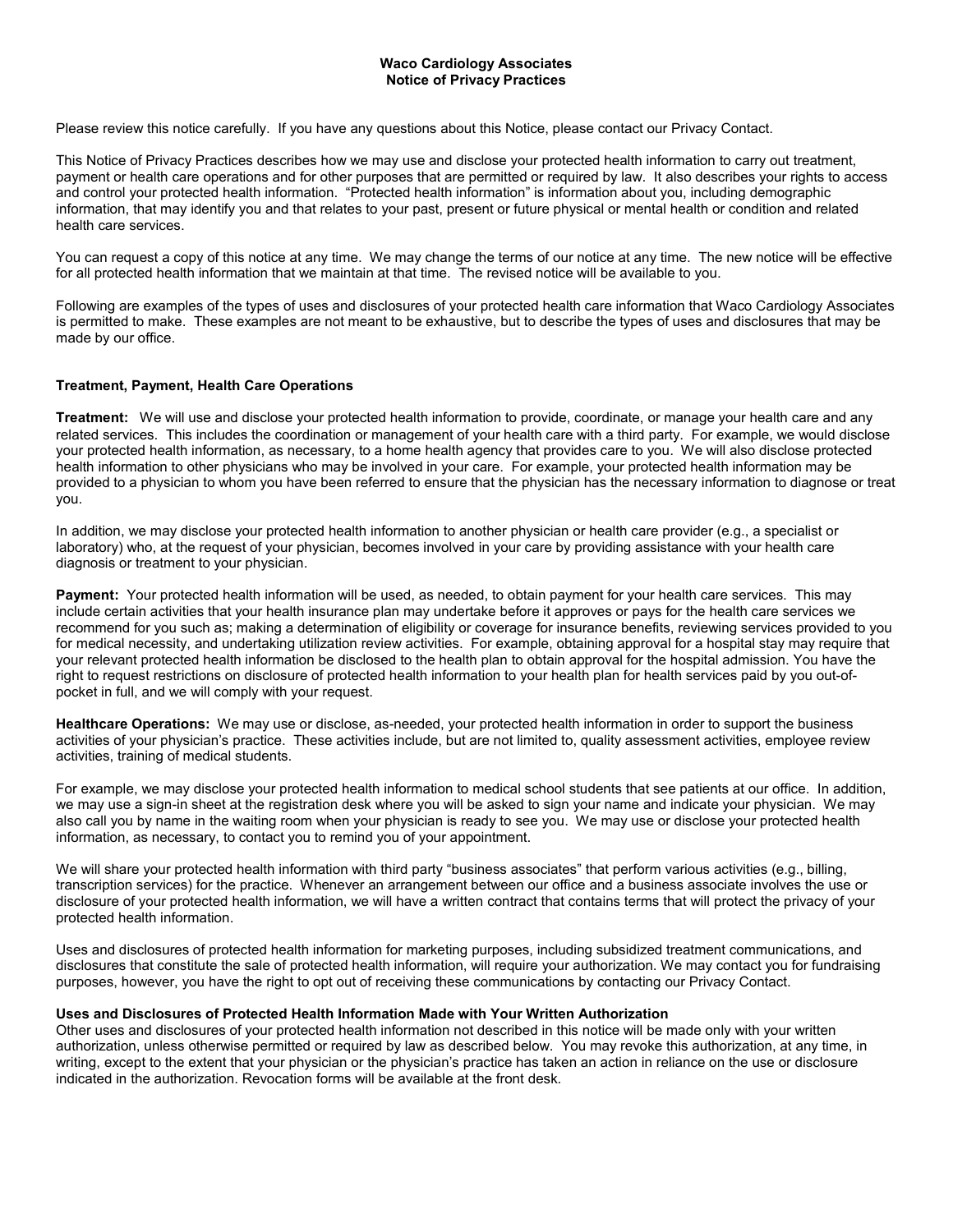### **Waco Cardiology Associates Notice of Privacy Practices**

Please review this notice carefully. If you have any questions about this Notice, please contact our Privacy Contact.

This Notice of Privacy Practices describes how we may use and disclose your protected health information to carry out treatment, payment or health care operations and for other purposes that are permitted or required by law. It also describes your rights to access and control your protected health information. "Protected health information" is information about you, including demographic information, that may identify you and that relates to your past, present or future physical or mental health or condition and related health care services.

You can request a copy of this notice at any time. We may change the terms of our notice at any time. The new notice will be effective for all protected health information that we maintain at that time. The revised notice will be available to you.

Following are examples of the types of uses and disclosures of your protected health care information that Waco Cardiology Associates is permitted to make. These examples are not meant to be exhaustive, but to describe the types of uses and disclosures that may be made by our office.

# **Treatment, Payment, Health Care Operations**

**Treatment:** We will use and disclose your protected health information to provide, coordinate, or manage your health care and any related services. This includes the coordination or management of your health care with a third party. For example, we would disclose your protected health information, as necessary, to a home health agency that provides care to you. We will also disclose protected health information to other physicians who may be involved in your care. For example, your protected health information may be provided to a physician to whom you have been referred to ensure that the physician has the necessary information to diagnose or treat you.

In addition, we may disclose your protected health information to another physician or health care provider (e.g., a specialist or laboratory) who, at the request of your physician, becomes involved in your care by providing assistance with your health care diagnosis or treatment to your physician.

**Payment:** Your protected health information will be used, as needed, to obtain payment for your health care services. This may include certain activities that your health insurance plan may undertake before it approves or pays for the health care services we recommend for you such as; making a determination of eligibility or coverage for insurance benefits, reviewing services provided to you for medical necessity, and undertaking utilization review activities. For example, obtaining approval for a hospital stay may require that your relevant protected health information be disclosed to the health plan to obtain approval for the hospital admission. You have the right to request restrictions on disclosure of protected health information to your health plan for health services paid by you out-ofpocket in full, and we will comply with your request.

**Healthcare Operations:** We may use or disclose, as-needed, your protected health information in order to support the business activities of your physician's practice. These activities include, but are not limited to, quality assessment activities, employee review activities, training of medical students.

For example, we may disclose your protected health information to medical school students that see patients at our office. In addition, we may use a sign-in sheet at the registration desk where you will be asked to sign your name and indicate your physician. We may also call you by name in the waiting room when your physician is ready to see you. We may use or disclose your protected health information, as necessary, to contact you to remind you of your appointment.

We will share your protected health information with third party "business associates" that perform various activities (e.g., billing, transcription services) for the practice. Whenever an arrangement between our office and a business associate involves the use or disclosure of your protected health information, we will have a written contract that contains terms that will protect the privacy of your protected health information.

Uses and disclosures of protected health information for marketing purposes, including subsidized treatment communications, and disclosures that constitute the sale of protected health information, will require your authorization. We may contact you for fundraising purposes, however, you have the right to opt out of receiving these communications by contacting our Privacy Contact.

# **Uses and Disclosures of Protected Health Information Made with Your Written Authorization**

Other uses and disclosures of your protected health information not described in this notice will be made only with your written authorization, unless otherwise permitted or required by law as described below. You may revoke this authorization, at any time, in writing, except to the extent that your physician or the physician's practice has taken an action in reliance on the use or disclosure indicated in the authorization. Revocation forms will be available at the front desk.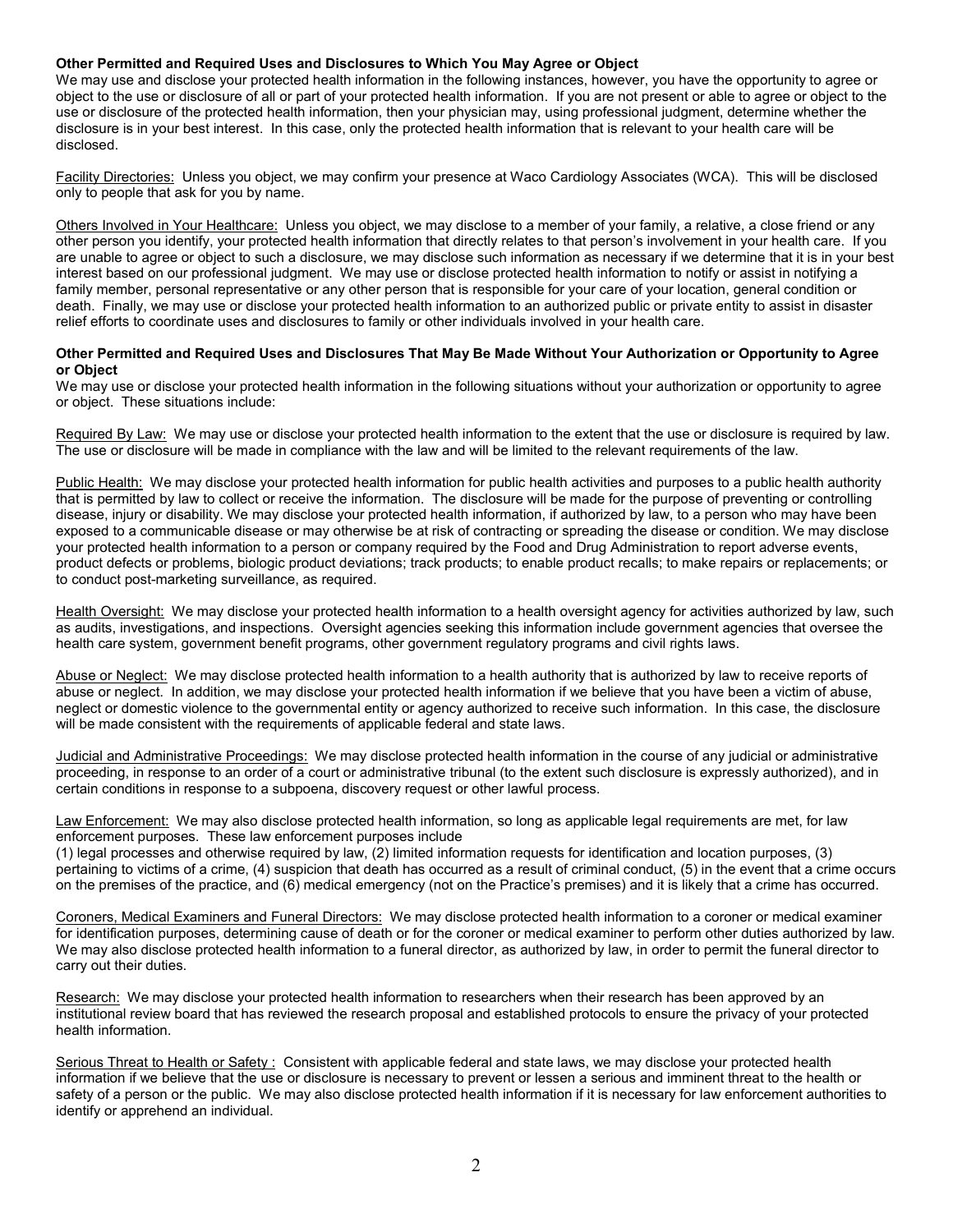### **Other Permitted and Required Uses and Disclosures to Which You May Agree or Object**

We may use and disclose your protected health information in the following instances, however, you have the opportunity to agree or object to the use or disclosure of all or part of your protected health information. If you are not present or able to agree or object to the use or disclosure of the protected health information, then your physician may, using professional judgment, determine whether the disclosure is in your best interest. In this case, only the protected health information that is relevant to your health care will be disclosed.

Facility Directories: Unless you object, we may confirm your presence at Waco Cardiology Associates (WCA). This will be disclosed only to people that ask for you by name.

Others Involved in Your Healthcare: Unless you object, we may disclose to a member of your family, a relative, a close friend or any other person you identify, your protected health information that directly relates to that person's involvement in your health care. If you are unable to agree or object to such a disclosure, we may disclose such information as necessary if we determine that it is in your best interest based on our professional judgment. We may use or disclose protected health information to notify or assist in notifying a family member, personal representative or any other person that is responsible for your care of your location, general condition or death. Finally, we may use or disclose your protected health information to an authorized public or private entity to assist in disaster relief efforts to coordinate uses and disclosures to family or other individuals involved in your health care.

#### **Other Permitted and Required Uses and Disclosures That May Be Made Without Your Authorization or Opportunity to Agree or Object**

We may use or disclose your protected health information in the following situations without your authorization or opportunity to agree or object. These situations include:

Required By Law: We may use or disclose your protected health information to the extent that the use or disclosure is required by law. The use or disclosure will be made in compliance with the law and will be limited to the relevant requirements of the law.

Public Health: We may disclose your protected health information for public health activities and purposes to a public health authority that is permitted by law to collect or receive the information. The disclosure will be made for the purpose of preventing or controlling disease, injury or disability. We may disclose your protected health information, if authorized by law, to a person who may have been exposed to a communicable disease or may otherwise be at risk of contracting or spreading the disease or condition. We may disclose your protected health information to a person or company required by the Food and Drug Administration to report adverse events, product defects or problems, biologic product deviations; track products; to enable product recalls; to make repairs or replacements; or to conduct post-marketing surveillance, as required.

Health Oversight: We may disclose your protected health information to a health oversight agency for activities authorized by law, such as audits, investigations, and inspections. Oversight agencies seeking this information include government agencies that oversee the health care system, government benefit programs, other government regulatory programs and civil rights laws.

Abuse or Neglect: We may disclose protected health information to a health authority that is authorized by law to receive reports of abuse or neglect. In addition, we may disclose your protected health information if we believe that you have been a victim of abuse, neglect or domestic violence to the governmental entity or agency authorized to receive such information. In this case, the disclosure will be made consistent with the requirements of applicable federal and state laws.

Judicial and Administrative Proceedings: We may disclose protected health information in the course of any judicial or administrative proceeding, in response to an order of a court or administrative tribunal (to the extent such disclosure is expressly authorized), and in certain conditions in response to a subpoena, discovery request or other lawful process.

Law Enforcement: We may also disclose protected health information, so long as applicable legal requirements are met, for law enforcement purposes. These law enforcement purposes include

(1) legal processes and otherwise required by law, (2) limited information requests for identification and location purposes, (3) pertaining to victims of a crime, (4) suspicion that death has occurred as a result of criminal conduct, (5) in the event that a crime occurs on the premises of the practice, and (6) medical emergency (not on the Practice's premises) and it is likely that a crime has occurred.

Coroners, Medical Examiners and Funeral Directors: We may disclose protected health information to a coroner or medical examiner for identification purposes, determining cause of death or for the coroner or medical examiner to perform other duties authorized by law. We may also disclose protected health information to a funeral director, as authorized by law, in order to permit the funeral director to carry out their duties.

Research: We may disclose your protected health information to researchers when their research has been approved by an institutional review board that has reviewed the research proposal and established protocols to ensure the privacy of your protected health information.

Serious Threat to Health or Safety : Consistent with applicable federal and state laws, we may disclose your protected health information if we believe that the use or disclosure is necessary to prevent or lessen a serious and imminent threat to the health or safety of a person or the public. We may also disclose protected health information if it is necessary for law enforcement authorities to identify or apprehend an individual.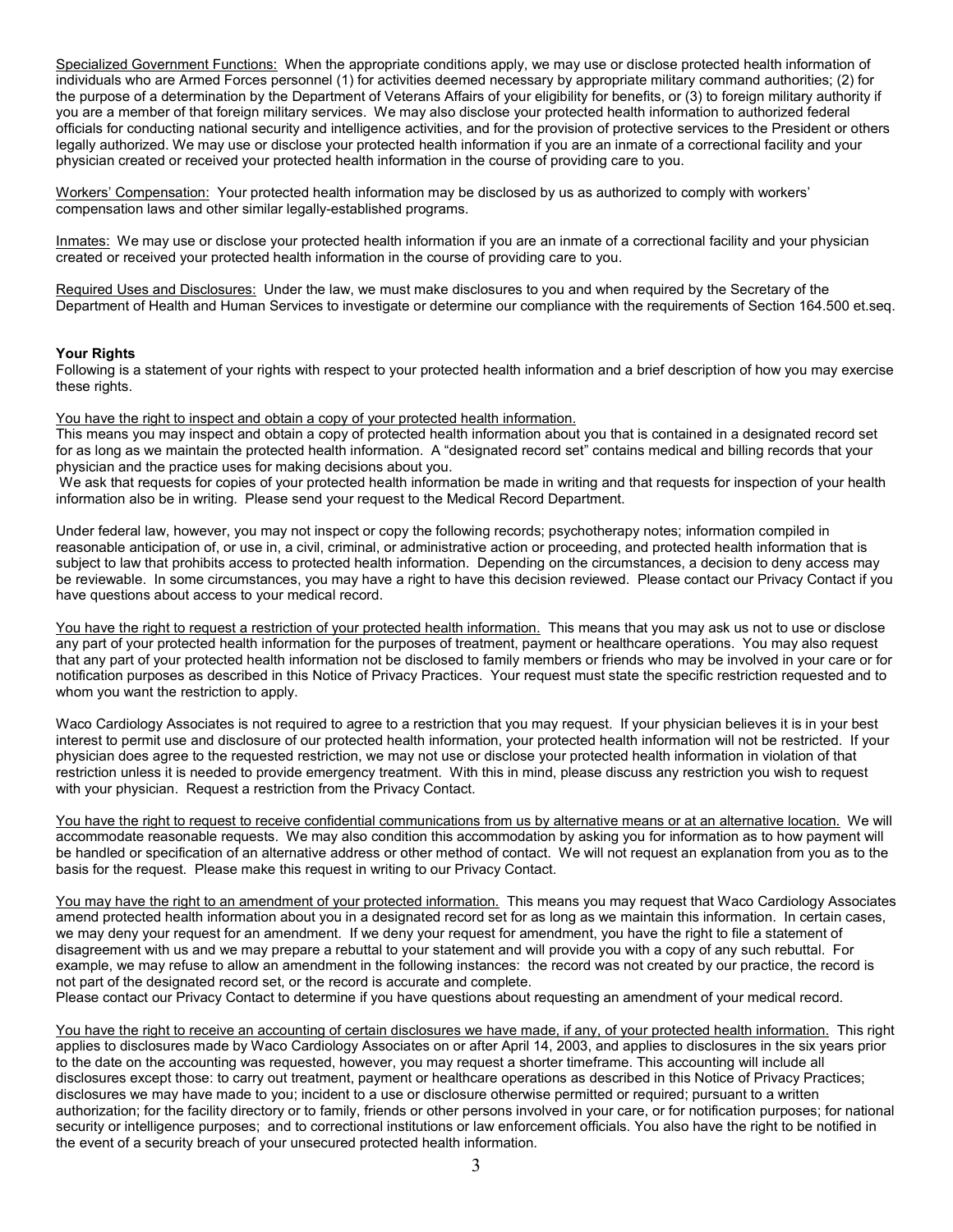Specialized Government Functions: When the appropriate conditions apply, we may use or disclose protected health information of individuals who are Armed Forces personnel (1) for activities deemed necessary by appropriate military command authorities; (2) for the purpose of a determination by the Department of Veterans Affairs of your eligibility for benefits, or (3) to foreign military authority if you are a member of that foreign military services. We may also disclose your protected health information to authorized federal officials for conducting national security and intelligence activities, and for the provision of protective services to the President or others legally authorized. We may use or disclose your protected health information if you are an inmate of a correctional facility and your physician created or received your protected health information in the course of providing care to you.

Workers' Compensation: Your protected health information may be disclosed by us as authorized to comply with workers' compensation laws and other similar legally-established programs.

Inmates: We may use or disclose your protected health information if you are an inmate of a correctional facility and your physician created or received your protected health information in the course of providing care to you.

Required Uses and Disclosures: Under the law, we must make disclosures to you and when required by the Secretary of the Department of Health and Human Services to investigate or determine our compliance with the requirements of Section 164.500 et.seq.

# **Your Rights**

Following is a statement of your rights with respect to your protected health information and a brief description of how you may exercise these rights.

You have the right to inspect and obtain a copy of your protected health information.

This means you may inspect and obtain a copy of protected health information about you that is contained in a designated record set for as long as we maintain the protected health information. A "designated record set" contains medical and billing records that your physician and the practice uses for making decisions about you.

We ask that requests for copies of your protected health information be made in writing and that requests for inspection of your health information also be in writing. Please send your request to the Medical Record Department.

Under federal law, however, you may not inspect or copy the following records; psychotherapy notes; information compiled in reasonable anticipation of, or use in, a civil, criminal, or administrative action or proceeding, and protected health information that is subject to law that prohibits access to protected health information. Depending on the circumstances, a decision to deny access may be reviewable. In some circumstances, you may have a right to have this decision reviewed. Please contact our Privacy Contact if you have questions about access to your medical record.

You have the right to request a restriction of your protected health information. This means that you may ask us not to use or disclose any part of your protected health information for the purposes of treatment, payment or healthcare operations. You may also request that any part of your protected health information not be disclosed to family members or friends who may be involved in your care or for notification purposes as described in this Notice of Privacy Practices. Your request must state the specific restriction requested and to whom you want the restriction to apply.

Waco Cardiology Associates is not required to agree to a restriction that you may request. If your physician believes it is in your best interest to permit use and disclosure of our protected health information, your protected health information will not be restricted. If your physician does agree to the requested restriction, we may not use or disclose your protected health information in violation of that restriction unless it is needed to provide emergency treatment. With this in mind, please discuss any restriction you wish to request with your physician. Request a restriction from the Privacy Contact.

You have the right to request to receive confidential communications from us by alternative means or at an alternative location. We will accommodate reasonable requests. We may also condition this accommodation by asking you for information as to how payment will be handled or specification of an alternative address or other method of contact. We will not request an explanation from you as to the basis for the request. Please make this request in writing to our Privacy Contact.

You may have the right to an amendment of your protected information. This means you may request that Waco Cardiology Associates amend protected health information about you in a designated record set for as long as we maintain this information. In certain cases, we may deny your request for an amendment. If we deny your request for amendment, you have the right to file a statement of disagreement with us and we may prepare a rebuttal to your statement and will provide you with a copy of any such rebuttal. For example, we may refuse to allow an amendment in the following instances: the record was not created by our practice, the record is not part of the designated record set, or the record is accurate and complete.

Please contact our Privacy Contact to determine if you have questions about requesting an amendment of your medical record.

You have the right to receive an accounting of certain disclosures we have made, if any, of your protected health information. This right applies to disclosures made by Waco Cardiology Associates on or after April 14, 2003, and applies to disclosures in the six years prior to the date on the accounting was requested, however, you may request a shorter timeframe. This accounting will include all disclosures except those: to carry out treatment, payment or healthcare operations as described in this Notice of Privacy Practices; disclosures we may have made to you; incident to a use or disclosure otherwise permitted or required; pursuant to a written authorization; for the facility directory or to family, friends or other persons involved in your care, or for notification purposes; for national security or intelligence purposes; and to correctional institutions or law enforcement officials. You also have the right to be notified in the event of a security breach of your unsecured protected health information.